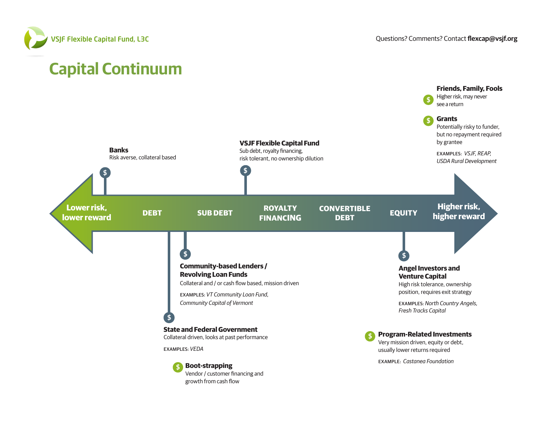